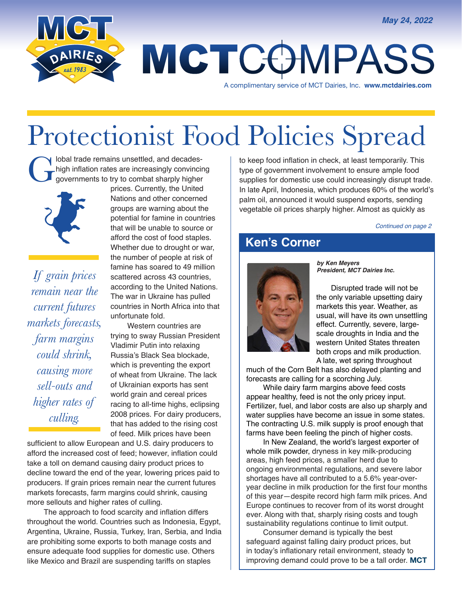

# MCTCOMPASS

A complimentary service of MCT Dairies, Inc. **www.mctdairies.com** 

## Protectionist Food Policies Spread

I lobal trade remains unsettled, and decadeshigh inflation rates are increasingly convincing governments to try to combat sharply higher



*If grain prices remain near the current futures markets forecasts, farm margins could shrink, causing more sell-outs and higher rates of culling.*

prices. Currently, the United Nations and other concerned groups are warning about the potential for famine in countries that will be unable to source or afford the cost of food staples. Whether due to drought or war, the number of people at risk of famine has soared to 49 million scattered across 43 countries. according to the United Nations. The war in Ukraine has pulled countries in North Africa into that unfortunate fold.

 Western countries are trying to sway Russian President Vladimir Putin into relaxing Russia's Black Sea blockade, which is preventing the export of wheat from Ukraine. The lack of Ukrainian exports has sent world grain and cereal prices racing to all-time highs, eclipsing 2008 prices. For dairy producers, that has added to the rising cost of feed. Milk prices have been

sufficient to allow European and U.S. dairy producers to afford the increased cost of feed; however, inflation could take a toll on demand causing dairy product prices to decline toward the end of the year, lowering prices paid to producers. If grain prices remain near the current futures markets forecasts, farm margins could shrink, causing more sellouts and higher rates of culling.

 The approach to food scarcity and inflation differs throughout the world. Countries such as Indonesia, Egypt, Argentina, Ukraine, Russia, Turkey, Iran, Serbia, and India are prohibiting some exports to both manage costs and ensure adequate food supplies for domestic use. Others like Mexico and Brazil are suspending tariffs on staples

to keep food inflation in check, at least temporarily. This type of government involvement to ensure ample food supplies for domestic use could increasingly disrupt trade. In late April, Indonesia, which produces 60% of the world's palm oil, announced it would suspend exports, sending vegetable oil prices sharply higher. Almost as quickly as

*Continued on page 2*

#### **Ken's Corner**



*by Ken Meyers President, MCT Dairies Inc.*

 Disrupted trade will not be the only variable upsetting dairy markets this year. Weather, as usual, will have its own unsettling effect. Currently, severe, largescale droughts in India and the western United States threaten both crops and milk production. A late, wet spring throughout

much of the Corn Belt has also delayed planting and forecasts are calling for a scorching July.

 While dairy farm margins above feed costs appear healthy, feed is not the only pricey input. Fertilizer, fuel, and labor costs are also up sharply and water supplies have become an issue in some states. The contracting U.S. milk supply is proof enough that farms have been feeling the pinch of higher costs.

 In New Zealand, the world's largest exporter of whole milk powder, dryness in key milk-producing areas, high feed prices, a smaller herd due to ongoing environmental regulations, and severe labor shortages have all contributed to a 5.6% year-overyear decline in milk production for the first four months of this year—despite record high farm milk prices. And Europe continues to recover from of its worst drought ever. Along with that, sharply rising costs and tough sustainability regulations continue to limit output.

 Consumer demand is typically the best safeguard against falling dairy product prices, but in today's inflationary retail environment, steady to improving demand could prove to be a tall order. **MCT**